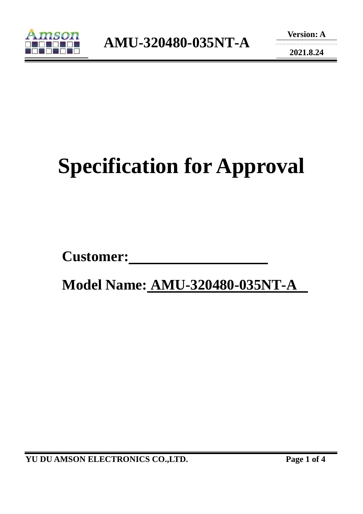

**2021.8.24** 

# **Specification for Approval**

**Customer:** 

 **Model Name: AMU-320480-035NT-A** 

**YU DU AMSON ELECTRONICS CO.,LTD. Page 1 of 4**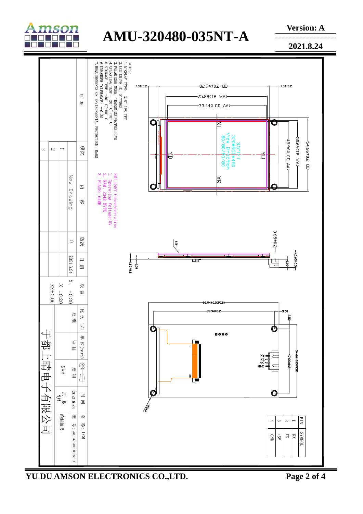

## **AMU-320480-035NT-A**

**Version: A** 

**2021.8.24** 

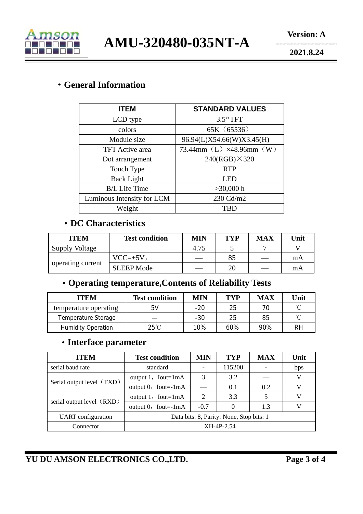

**AMU-320480-035NT-A** 

**2021.8.24** 

#### ·**General Information**

| <b>ITEM</b>                | <b>STANDARD VALUES</b>    |  |  |  |
|----------------------------|---------------------------|--|--|--|
| LCD type                   | 3.5"TFT                   |  |  |  |
| colors                     | 65K (65536)               |  |  |  |
| Module size                | 96.94(L)X54.66(W)X3.45(H) |  |  |  |
| <b>TFT</b> Active area     | 73.44mm (L) ×48.96mm (W)  |  |  |  |
| Dot arrangement            | $240(RGB) \times 320$     |  |  |  |
| Touch Type                 | <b>RTP</b>                |  |  |  |
| <b>Back Light</b>          | LED                       |  |  |  |
| <b>B/L</b> Life Time       | $>30,000$ h               |  |  |  |
| Luminous Intensity for LCM | 230 Cd/m2                 |  |  |  |
| Weight                     | <b>TBD</b>                |  |  |  |

#### ·**DC Characteristics**

| <b>ITEM</b>           | <b>Test condition</b> | MIN  | <b>TYP</b> | <b>MAX</b> | Unit |
|-----------------------|-----------------------|------|------------|------------|------|
| <b>Supply Voltage</b> |                       | 4.75 |            |            |      |
| operating current     | $VCC=+5V,$            |      | 85         |            | mA   |
|                       | <b>SLEEP Mode</b>     |      | 20         |            | mA   |

### ·**Operating temperature,Contents of Reliability Tests**

| <b>ITEM</b>               | <b>Test condition</b> | <b>MIN</b> | TYP | <b>MAX</b> | Unit |
|---------------------------|-----------------------|------------|-----|------------|------|
| temperature operating     | 5V                    | $-20$      | 25  |            | ∽    |
| Temperature Storage       |                       | $-30$      | 25  | 85         | ∽    |
| <b>Humidity Operation</b> | $25^{\circ}$ C        | 10%        | 60% | 90%        | RH   |

#### ·**Interface parameter**

| <b>ITEM</b>               | <b>Test condition</b>                    | MIN                         | <b>TYP</b> | <b>MAX</b> | Unit |
|---------------------------|------------------------------------------|-----------------------------|------------|------------|------|
| serial baud rate          | standard                                 |                             | 115200     |            | bps  |
| Serial output level (TXD) | output $1$ , Iout=1mA                    | 3                           | 3.2        |            | V    |
|                           | output $0$ , Iout=-1mA                   |                             | 0.1        | 0.2        | V    |
| serial output level (RXD) | output $1$ , Iout=1mA                    | $\mathcal{D}_{\mathcal{L}}$ | 3.3        |            | V    |
|                           | output $0$ , Iout=-1mA                   | $-0.7$                      |            | 1.3        | V    |
| <b>UART</b> configuration | Data bits: 8, Parity: None, Stop bits: 1 |                             |            |            |      |
| Connector                 | XH-4P-2.54                               |                             |            |            |      |